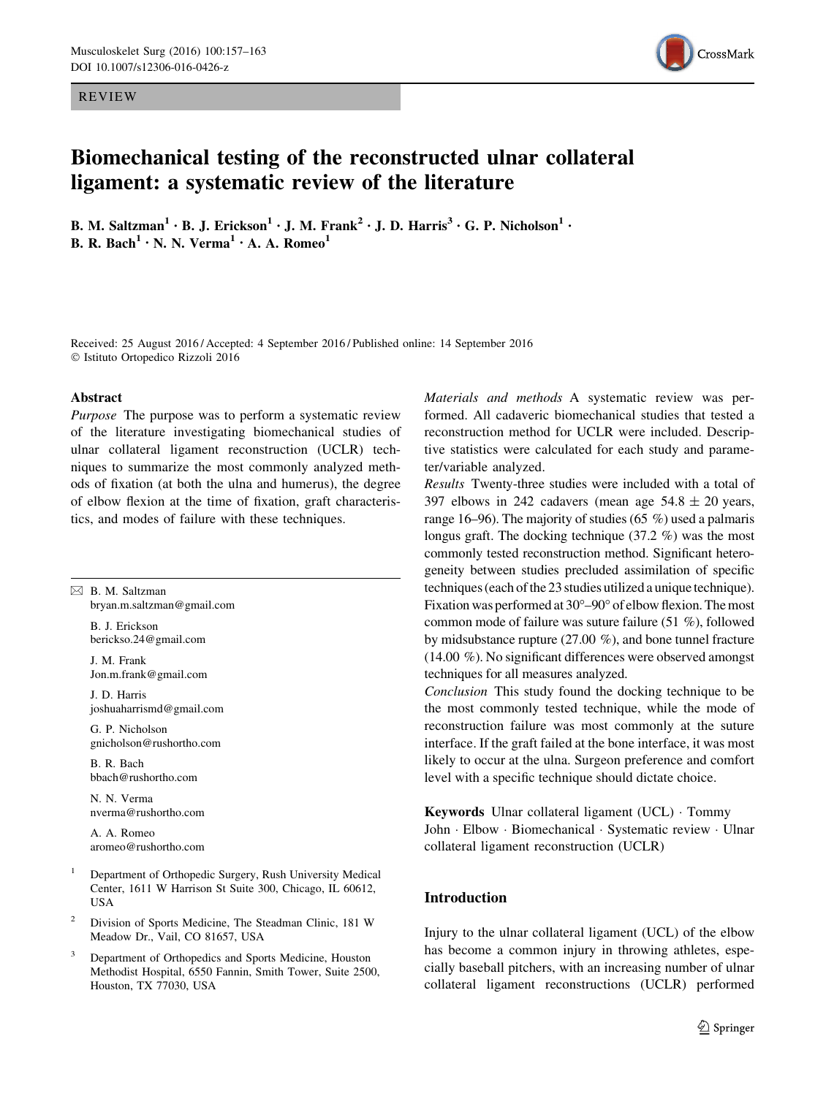REVIEW



# Biomechanical testing of the reconstructed ulnar collateral ligament: a systematic review of the literature

B. M. Saltzman<sup>1</sup> · B. J. Erickson<sup>1</sup> · J. M. Frank<sup>2</sup> · J. D. Harris<sup>3</sup> · G. P. Nicholson<sup>1</sup> · **B. R. Bach<sup>1</sup>** • **N.** N. Verma<sup>1</sup> • A. A. Romeo<sup>1</sup>

Received: 25 August 2016 / Accepted: 4 September 2016 / Published online: 14 September 2016 © Istituto Ortopedico Rizzoli 2016

### Abstract

Purpose The purpose was to perform a systematic review of the literature investigating biomechanical studies of ulnar collateral ligament reconstruction (UCLR) techniques to summarize the most commonly analyzed methods of fixation (at both the ulna and humerus), the degree of elbow flexion at the time of fixation, graft characteristics, and modes of failure with these techniques.

 $\boxtimes$  B. M. Saltzman bryan.m.saltzman@gmail.com

> B. J. Erickson berickso.24@gmail.com

> J. M. Frank Jon.m.frank@gmail.com

J. D. Harris joshuaharrismd@gmail.com

G. P. Nicholson gnicholson@rushortho.com

B. R. Bach bbach@rushortho.com

N. N. Verma nverma@rushortho.com

A. A. Romeo aromeo@rushortho.com

- <sup>1</sup> Department of Orthopedic Surgery, Rush University Medical Center, 1611 W Harrison St Suite 300, Chicago, IL 60612, USA
- <sup>2</sup> Division of Sports Medicine, The Steadman Clinic, 181 W Meadow Dr., Vail, CO 81657, USA
- Department of Orthopedics and Sports Medicine, Houston Methodist Hospital, 6550 Fannin, Smith Tower, Suite 2500, Houston, TX 77030, USA

Materials and methods A systematic review was performed. All cadaveric biomechanical studies that tested a reconstruction method for UCLR were included. Descriptive statistics were calculated for each study and parameter/variable analyzed.

Results Twenty-three studies were included with a total of 397 elbows in 242 cadavers (mean age  $54.8 \pm 20$  years, range 16–96). The majority of studies (65 %) used a palmaris longus graft. The docking technique (37.2 %) was the most commonly tested reconstruction method. Significant heterogeneity between studies precluded assimilation of specific techniques (each of the 23 studies utilized a unique technique). Fixation was performed at  $30^{\circ} - 90^{\circ}$  of elbow flexion. The most common mode of failure was suture failure (51 %), followed by midsubstance rupture (27.00 %), and bone tunnel fracture (14.00 %). No significant differences were observed amongst techniques for all measures analyzed.

Conclusion This study found the docking technique to be the most commonly tested technique, while the mode of reconstruction failure was most commonly at the suture interface. If the graft failed at the bone interface, it was most likely to occur at the ulna. Surgeon preference and comfort level with a specific technique should dictate choice.

Keywords Ulnar collateral ligament (UCL) - Tommy John - Elbow - Biomechanical - Systematic review - Ulnar collateral ligament reconstruction (UCLR)

# Introduction

Injury to the ulnar collateral ligament (UCL) of the elbow has become a common injury in throwing athletes, especially baseball pitchers, with an increasing number of ulnar collateral ligament reconstructions (UCLR) performed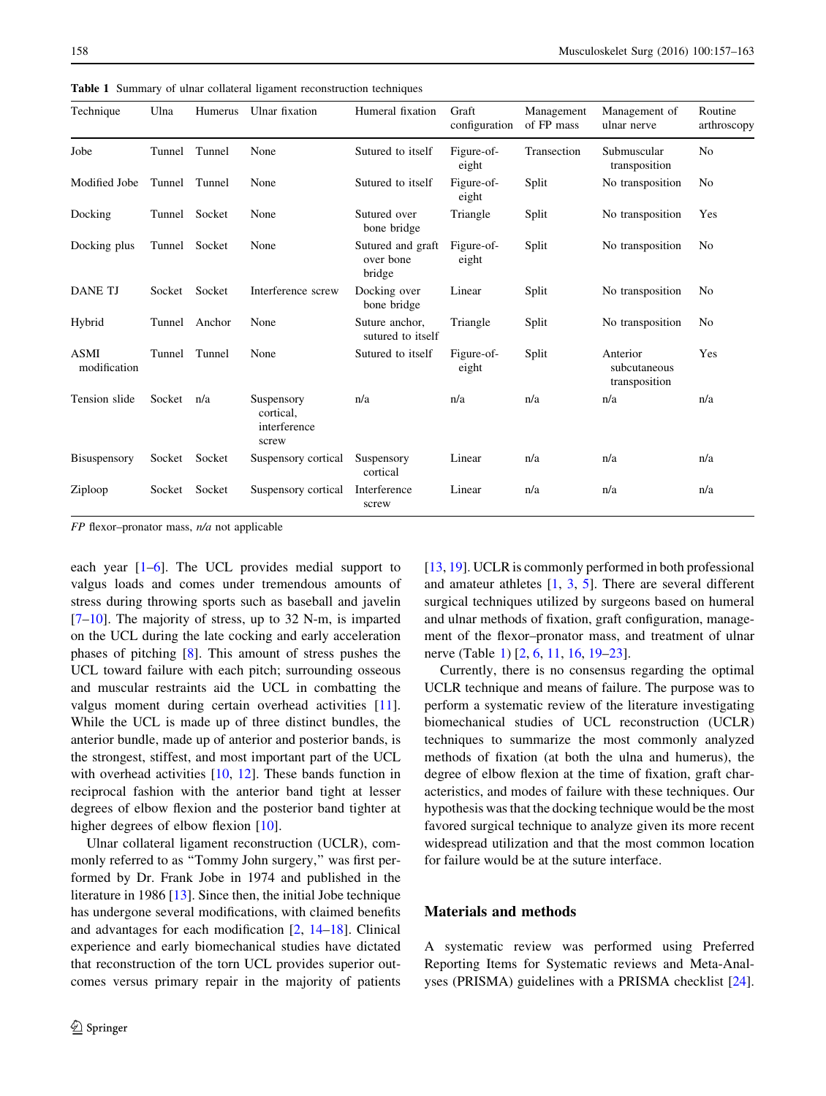| Technique                   | Ulna   | Humerus       | Ulnar fixation                                   | Humeral fixation                         | Graft<br>configuration | Management<br>of FP mass | Management of<br>ulnar nerve              | Routine<br>arthroscopy |
|-----------------------------|--------|---------------|--------------------------------------------------|------------------------------------------|------------------------|--------------------------|-------------------------------------------|------------------------|
| Jobe                        |        | Tunnel Tunnel | None                                             | Sutured to itself                        | Figure-of-<br>eight    | Transection              | Submuscular<br>transposition              | N <sub>0</sub>         |
| Modified Jobe               |        | Tunnel Tunnel | None                                             | Sutured to itself                        | Figure-of-<br>eight    | Split                    | No transposition                          | No                     |
| Docking                     |        | Tunnel Socket | None                                             | Sutured over<br>bone bridge              | Triangle               | Split                    | No transposition                          | Yes                    |
| Docking plus                | Tunnel | Socket        | None                                             | Sutured and graft<br>over bone<br>bridge | Figure-of-<br>eight    | Split                    | No transposition                          | N <sub>0</sub>         |
| <b>DANE TJ</b>              | Socket | Socket        | Interference screw                               | Docking over<br>bone bridge              | Linear                 | Split                    | No transposition                          | N <sub>0</sub>         |
| Hybrid                      | Tunnel | Anchor        | None                                             | Suture anchor,<br>sutured to itself      | Triangle               | Split                    | No transposition                          | No                     |
| <b>ASMI</b><br>modification | Tunnel | Tunnel        | None                                             | Sutured to itself                        | Figure-of-<br>eight    | Split                    | Anterior<br>subcutaneous<br>transposition | Yes                    |
| Tension slide               | Socket | n/a           | Suspensory<br>cortical.<br>interference<br>screw | n/a                                      | n/a                    | n/a                      | n/a                                       | n/a                    |
| Bisuspensory                | Socket | Socket        | Suspensory cortical                              | Suspensory<br>cortical                   | Linear                 | n/a                      | n/a                                       | n/a                    |
| Ziploop                     | Socket | Socket        | Suspensory cortical                              | Interference<br>screw                    | Linear                 | n/a                      | n/a                                       | n/a                    |

Table 1 Summary of ulnar collateral ligament reconstruction techniques

 $FP$  flexor-pronator mass,  $n/a$  not applicable

each year [1–6]. The UCL provides medial support to valgus loads and comes under tremendous amounts of stress during throwing sports such as baseball and javelin  $[7–10]$ . The majority of stress, up to 32 N-m, is imparted on the UCL during the late cocking and early acceleration phases of pitching [8]. This amount of stress pushes the UCL toward failure with each pitch; surrounding osseous and muscular restraints aid the UCL in combatting the valgus moment during certain overhead activities [11]. While the UCL is made up of three distinct bundles, the anterior bundle, made up of anterior and posterior bands, is the strongest, stiffest, and most important part of the UCL with overhead activities [10, 12]. These bands function in reciprocal fashion with the anterior band tight at lesser degrees of elbow flexion and the posterior band tighter at higher degrees of elbow flexion [10].

Ulnar collateral ligament reconstruction (UCLR), commonly referred to as "Tommy John surgery," was first performed by Dr. Frank Jobe in 1974 and published in the literature in 1986 [13]. Since then, the initial Jobe technique has undergone several modifications, with claimed benefits and advantages for each modification [2, 14–18]. Clinical experience and early biomechanical studies have dictated that reconstruction of the torn UCL provides superior outcomes versus primary repair in the majority of patients [13, 19]. UCLR is commonly performed in both professional and amateur athletes [1, 3, 5]. There are several different surgical techniques utilized by surgeons based on humeral and ulnar methods of fixation, graft configuration, management of the flexor–pronator mass, and treatment of ulnar nerve (Table 1) [2, 6, 11, 16, 19–23].

Currently, there is no consensus regarding the optimal UCLR technique and means of failure. The purpose was to perform a systematic review of the literature investigating biomechanical studies of UCL reconstruction (UCLR) techniques to summarize the most commonly analyzed methods of fixation (at both the ulna and humerus), the degree of elbow flexion at the time of fixation, graft characteristics, and modes of failure with these techniques. Our hypothesis was that the docking technique would be the most favored surgical technique to analyze given its more recent widespread utilization and that the most common location for failure would be at the suture interface.

## Materials and methods

A systematic review was performed using Preferred Reporting Items for Systematic reviews and Meta-Analyses (PRISMA) guidelines with a PRISMA checklist [24].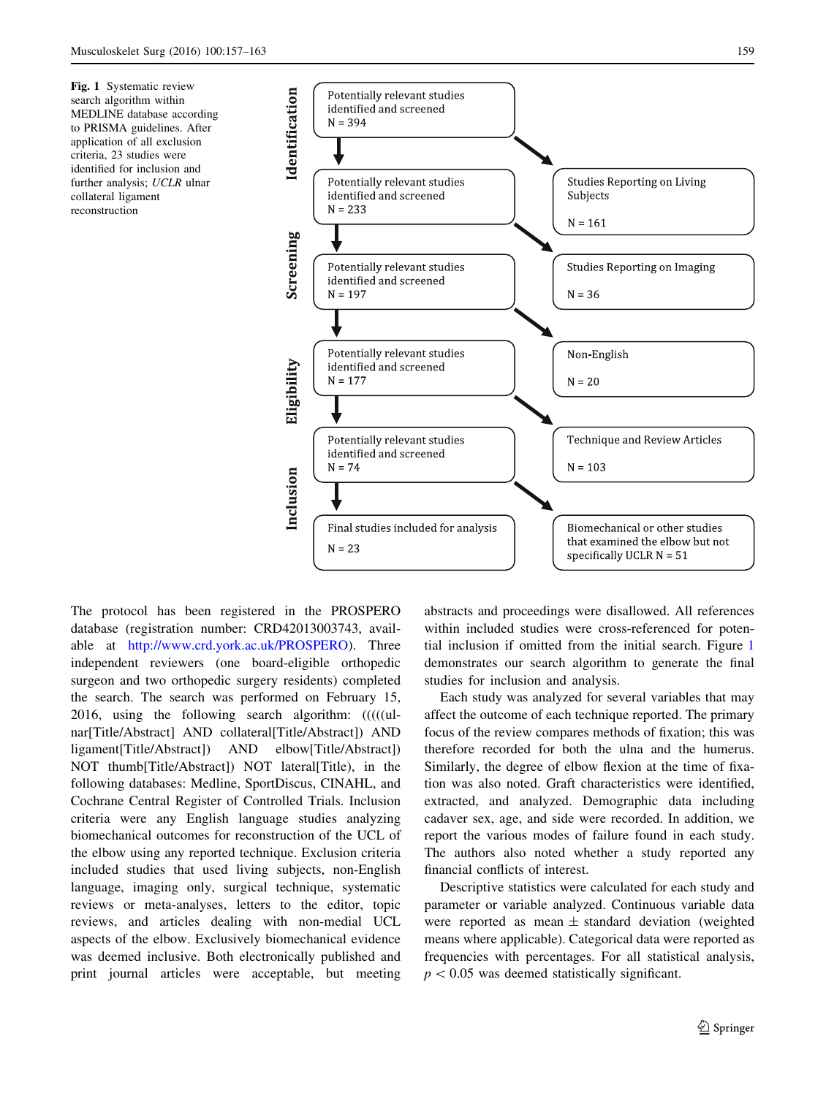Fig. 1 Systematic review search algorithm within MEDLINE database according to PRISMA guidelines. After application of all exclusion criteria, 23 studies were identified for inclusion and further analysis; UCLR ulnar collateral ligament reconstruction



The protocol has been registered in the PROSPERO database (registration number: CRD42013003743, available at http://www.crd.york.ac.uk/PROSPERO). Three independent reviewers (one board-eligible orthopedic surgeon and two orthopedic surgery residents) completed the search. The search was performed on February 15, 2016, using the following search algorithm: (((((ulnar[Title/Abstract] AND collateral[Title/Abstract]) AND ligament[Title/Abstract]) AND elbow[Title/Abstract]) NOT thumb[Title/Abstract]) NOT lateral[Title), in the following databases: Medline, SportDiscus, CINAHL, and Cochrane Central Register of Controlled Trials. Inclusion criteria were any English language studies analyzing biomechanical outcomes for reconstruction of the UCL of the elbow using any reported technique. Exclusion criteria included studies that used living subjects, non-English language, imaging only, surgical technique, systematic reviews or meta-analyses, letters to the editor, topic reviews, and articles dealing with non-medial UCL aspects of the elbow. Exclusively biomechanical evidence was deemed inclusive. Both electronically published and print journal articles were acceptable, but meeting abstracts and proceedings were disallowed. All references within included studies were cross-referenced for potential inclusion if omitted from the initial search. Figure 1 demonstrates our search algorithm to generate the final studies for inclusion and analysis.

Each study was analyzed for several variables that may affect the outcome of each technique reported. The primary focus of the review compares methods of fixation; this was therefore recorded for both the ulna and the humerus. Similarly, the degree of elbow flexion at the time of fixation was also noted. Graft characteristics were identified, extracted, and analyzed. Demographic data including cadaver sex, age, and side were recorded. In addition, we report the various modes of failure found in each study. The authors also noted whether a study reported any financial conflicts of interest.

Descriptive statistics were calculated for each study and parameter or variable analyzed. Continuous variable data were reported as mean  $\pm$  standard deviation (weighted means where applicable). Categorical data were reported as frequencies with percentages. For all statistical analysis,  $p < 0.05$  was deemed statistically significant.

2 Springer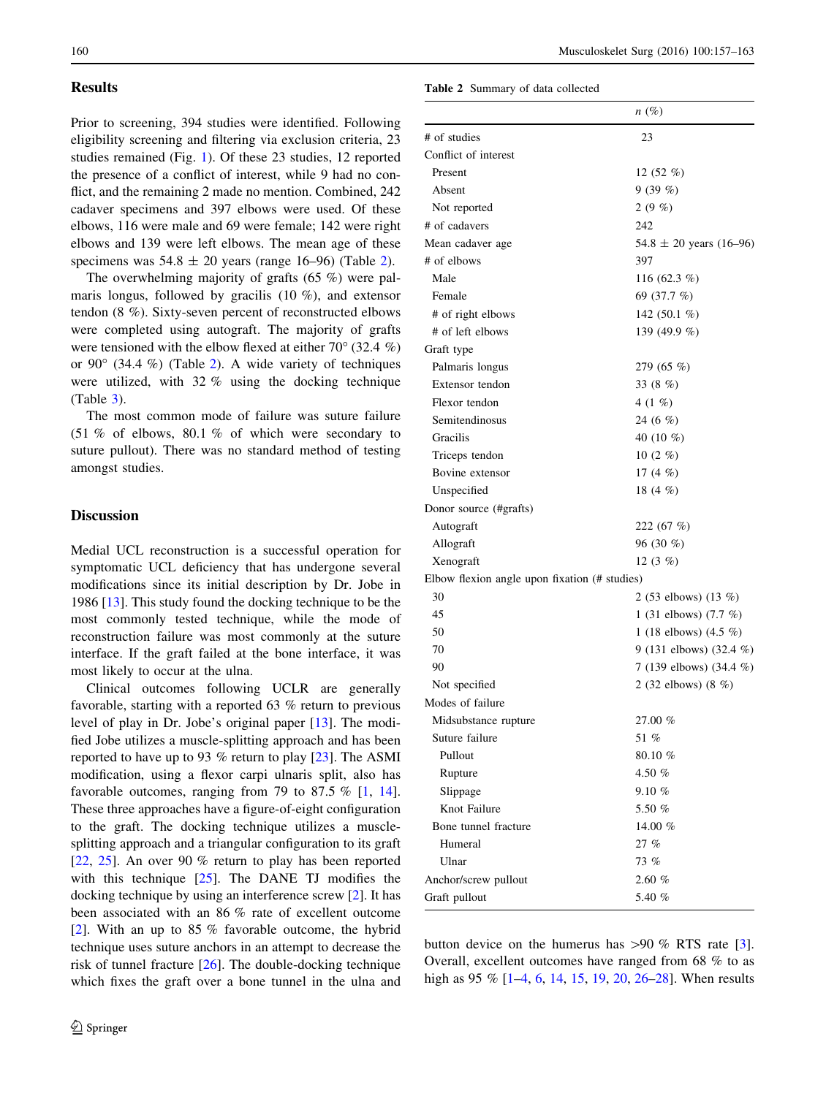## **Results**

Prior to screening, 394 studies were identified. Following eligibility screening and filtering via exclusion criteria, 23 studies remained (Fig. 1). Of these 23 studies, 12 reported the presence of a conflict of interest, while 9 had no conflict, and the remaining 2 made no mention. Combined, 242 cadaver specimens and 397 elbows were used. Of these elbows, 116 were male and 69 were female; 142 were right elbows and 139 were left elbows. The mean age of these specimens was  $54.8 \pm 20$  years (range 16–96) (Table 2).

The overwhelming majority of grafts (65 %) were palmaris longus, followed by gracilis  $(10 \%)$ , and extensor tendon (8 %). Sixty-seven percent of reconstructed elbows were completed using autograft. The majority of grafts were tensioned with the elbow flexed at either  $70^{\circ}$  (32.4 %) or  $90^{\circ}$  (34.4 %) (Table 2). A wide variety of techniques were utilized, with 32 % using the docking technique (Table 3).

The most common mode of failure was suture failure (51 % of elbows, 80.1 % of which were secondary to suture pullout). There was no standard method of testing amongst studies.

# **Discussion**

Medial UCL reconstruction is a successful operation for symptomatic UCL deficiency that has undergone several modifications since its initial description by Dr. Jobe in 1986 [13]. This study found the docking technique to be the most commonly tested technique, while the mode of reconstruction failure was most commonly at the suture interface. If the graft failed at the bone interface, it was most likely to occur at the ulna.

Clinical outcomes following UCLR are generally favorable, starting with a reported 63 % return to previous level of play in Dr. Jobe's original paper [13]. The modified Jobe utilizes a muscle-splitting approach and has been reported to have up to 93 % return to play [23]. The ASMI modification, using a flexor carpi ulnaris split, also has favorable outcomes, ranging from 79 to 87.5  $\%$  [1, 14]. These three approaches have a figure-of-eight configuration to the graft. The docking technique utilizes a musclesplitting approach and a triangular configuration to its graft [22, 25]. An over 90 % return to play has been reported with this technique [25]. The DANE TJ modifies the docking technique by using an interference screw [2]. It has been associated with an 86 % rate of excellent outcome [2]. With an up to 85 % favorable outcome, the hybrid technique uses suture anchors in an attempt to decrease the risk of tunnel fracture [26]. The double-docking technique which fixes the graft over a bone tunnel in the ulna and

#### Table 2 Summary of data collected

|                                               | $n(\%)$                     |
|-----------------------------------------------|-----------------------------|
| # of studies                                  | 23                          |
| Conflict of interest                          |                             |
| Present                                       | 12 $(52 \%)$                |
| Absent                                        |                             |
|                                               | 9(39%)                      |
| Not reported<br># of cadavers                 | $2(9\%)$<br>242             |
|                                               |                             |
| Mean cadaver age<br># of elbows               | $54.8 \pm 20$ years (16-96) |
| Male                                          | 397                         |
|                                               | 116 (62.3 $%$ )             |
| Female                                        | 69 (37.7 %)                 |
| # of right elbows                             | 142 $(50.1\%$               |
| # of left elbows                              | 139 (49.9 %)                |
| Graft type                                    |                             |
| Palmaris longus                               | 279 $(65 \%)$               |
| Extensor tendon                               | 33 $(8\%)$                  |
| Flexor tendon                                 | 4 (1 %)                     |
| Semitendinosus                                | 24 (6 $%$ )                 |
| Gracilis                                      | 40 $(10\%$                  |
| Triceps tendon                                | 10 $(2 \%)$                 |
| Bovine extensor                               | 17 $(4 \%)$                 |
| Unspecified                                   | 18 $(4 \%)$                 |
| Donor source (#grafts)                        |                             |
| Autograft                                     | 222 $(67%)$                 |
| Allograft                                     | 96 $(30\%)$                 |
| Xenograft                                     | 12 $(3 \%)$                 |
| Elbow flexion angle upon fixation (# studies) |                             |
| 30                                            | 2 (53 elbows) (13 %)        |
| 45                                            | 1 (31 elbows) $(7.7 \%)$    |
| 50                                            | 1 (18 elbows) $(4.5\%)$     |
| 70                                            | 9 (131 elbows) (32.4 %)     |
| 90                                            | 7 (139 elbows) (34.4 %)     |
| Not specified                                 | 2 (32 elbows) (8 $%$ )      |
| Modes of failure                              |                             |
| Midsubstance rupture                          | 27.00 %                     |
| Suture failure                                | 51 %                        |
| Pullout                                       | 80.10%                      |
| Rupture                                       | 4.50 $%$                    |
| Slippage                                      | 9.10 %                      |
| Knot Failure                                  | 5.50 %                      |
| Bone tunnel fracture                          | 14.00 $%$                   |
| Humeral                                       | 27%                         |
| Ulnar                                         | 73 %                        |
| Anchor/screw pullout                          | 2.60%                       |
| Graft pullout                                 | 5.40 %                      |

button device on the humerus has  $>90 \%$  RTS rate [3]. Overall, excellent outcomes have ranged from 68 % to as high as 95 % [1–4, 6, 14, 15, 19, 20, 26–28]. When results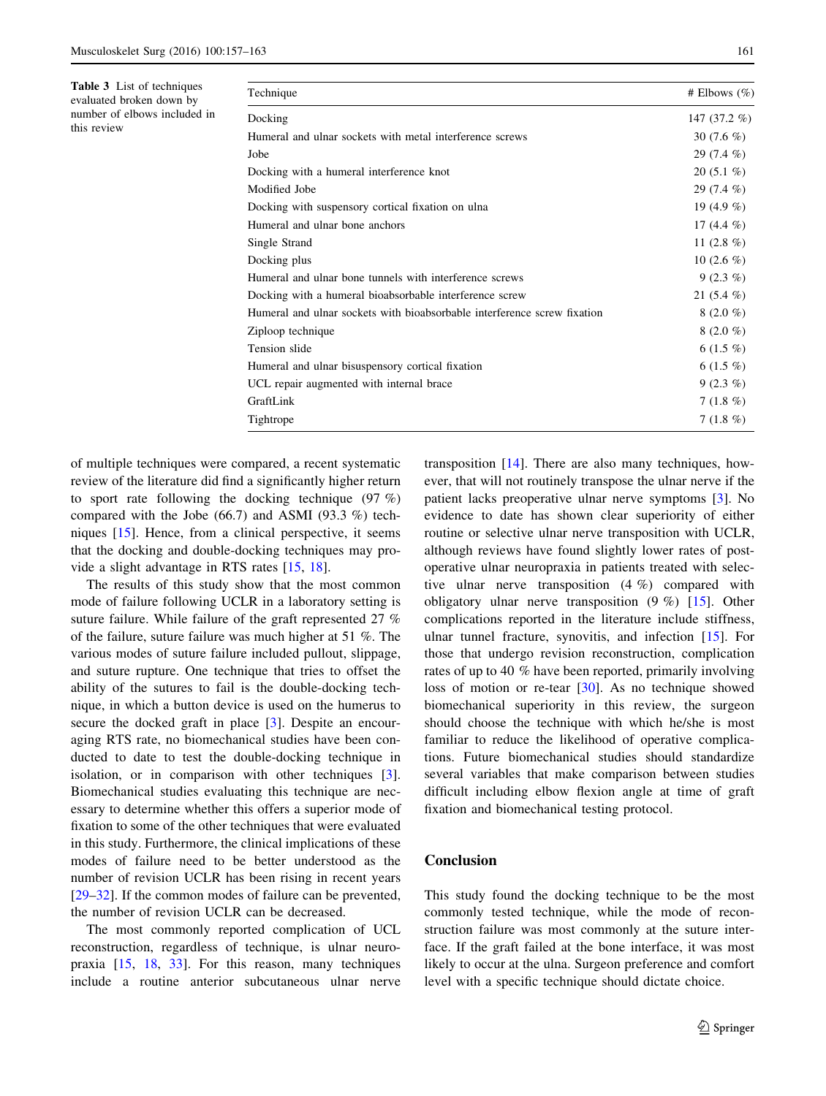Table 3 List of techniques evaluated broken down by number of elbows included in

this review

| Technique                                                                | # Elbows $(\% )$ |
|--------------------------------------------------------------------------|------------------|
| Docking                                                                  | 147 $(37.2\%)$   |
| Humeral and ulnar sockets with metal interference screws                 | 30 $(7.6\%)$     |
| Jobe                                                                     | $29(7.4\%)$      |
| Docking with a humeral interference knot                                 | $20(5.1\%)$      |
| Modified Jobe                                                            | $29(7.4\%)$      |
| Docking with suspensory cortical fixation on ulna                        | 19 $(4.9\%$      |
| Humeral and ulnar bone anchors                                           | 17 $(4.4\%)$     |
| Single Strand                                                            | 11 $(2.8\%)$     |
| Docking plus                                                             | 10 $(2.6 \%)$    |
| Humeral and ulnar bone tunnels with interference screws                  | $9(2.3\%)$       |
| Docking with a humeral bioabsorbable interference screw                  | 21 $(5.4\%)$     |
| Humeral and ulnar sockets with bioabsorbable interference screw fixation | $8(2.0\%)$       |
| Ziploop technique                                                        | $8(2.0\%)$       |
| Tension slide                                                            | 6 $(1.5 \%)$     |
| Humeral and ulnar bisuspensory cortical fixation                         | $6(1.5\%)$       |
| UCL repair augmented with internal brace                                 | $9(2.3\%)$       |
| GraftLink                                                                | $7(1.8\%)$       |
| Tightrope                                                                | $7(1.8\%)$       |

of multiple techniques were compared, a recent systematic review of the literature did find a significantly higher return to sport rate following the docking technique (97 %) compared with the Jobe (66.7) and ASMI (93.3 %) techniques [15]. Hence, from a clinical perspective, it seems that the docking and double-docking techniques may provide a slight advantage in RTS rates [15, 18].

The results of this study show that the most common mode of failure following UCLR in a laboratory setting is suture failure. While failure of the graft represented 27 % of the failure, suture failure was much higher at 51 %. The various modes of suture failure included pullout, slippage, and suture rupture. One technique that tries to offset the ability of the sutures to fail is the double-docking technique, in which a button device is used on the humerus to secure the docked graft in place [3]. Despite an encouraging RTS rate, no biomechanical studies have been conducted to date to test the double-docking technique in isolation, or in comparison with other techniques [3]. Biomechanical studies evaluating this technique are necessary to determine whether this offers a superior mode of fixation to some of the other techniques that were evaluated in this study. Furthermore, the clinical implications of these modes of failure need to be better understood as the number of revision UCLR has been rising in recent years [29–32]. If the common modes of failure can be prevented, the number of revision UCLR can be decreased.

The most commonly reported complication of UCL reconstruction, regardless of technique, is ulnar neuropraxia [15, 18, 33]. For this reason, many techniques include a routine anterior subcutaneous ulnar nerve

transposition [14]. There are also many techniques, however, that will not routinely transpose the ulnar nerve if the patient lacks preoperative ulnar nerve symptoms [3]. No evidence to date has shown clear superiority of either routine or selective ulnar nerve transposition with UCLR, although reviews have found slightly lower rates of postoperative ulnar neuropraxia in patients treated with selective ulnar nerve transposition (4 %) compared with obligatory ulnar nerve transposition (9 %) [15]. Other complications reported in the literature include stiffness, ulnar tunnel fracture, synovitis, and infection [15]. For those that undergo revision reconstruction, complication rates of up to 40 % have been reported, primarily involving loss of motion or re-tear [30]. As no technique showed biomechanical superiority in this review, the surgeon should choose the technique with which he/she is most familiar to reduce the likelihood of operative complications. Future biomechanical studies should standardize several variables that make comparison between studies difficult including elbow flexion angle at time of graft fixation and biomechanical testing protocol.

## Conclusion

This study found the docking technique to be the most commonly tested technique, while the mode of reconstruction failure was most commonly at the suture interface. If the graft failed at the bone interface, it was most likely to occur at the ulna. Surgeon preference and comfort level with a specific technique should dictate choice.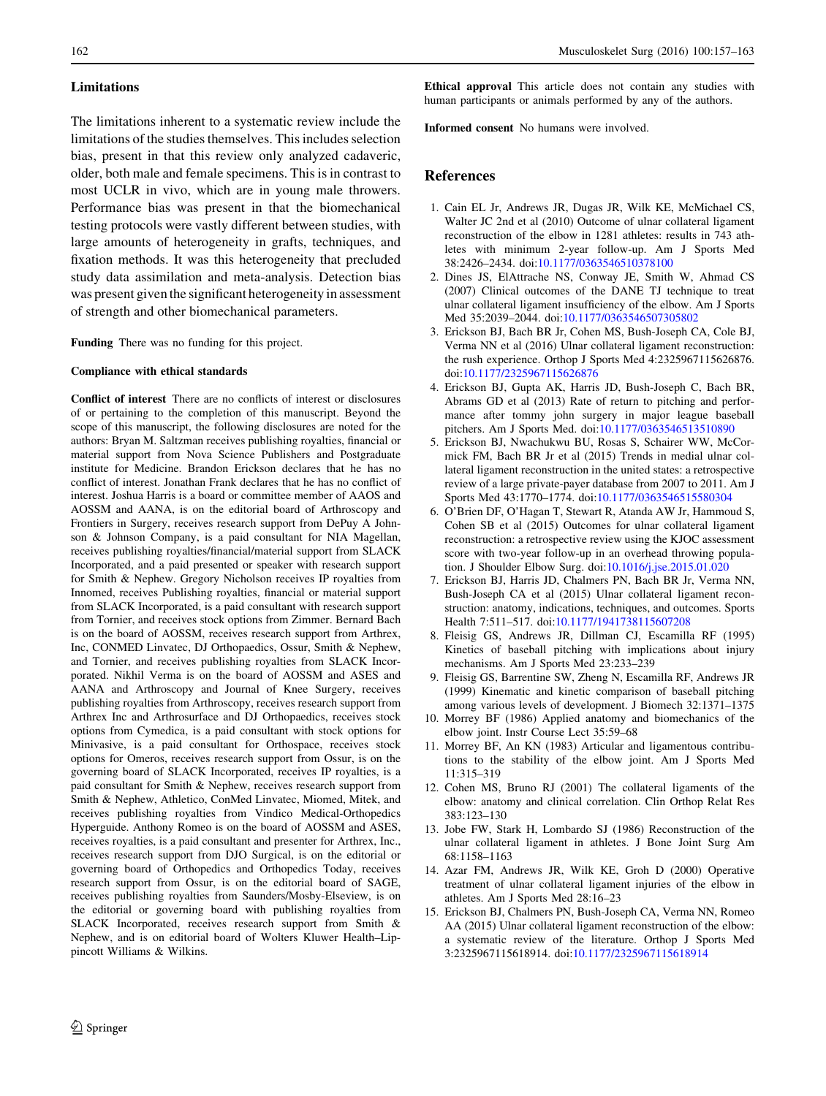#### Limitations

The limitations inherent to a systematic review include the limitations of the studies themselves. This includes selection bias, present in that this review only analyzed cadaveric, older, both male and female specimens. This is in contrast to most UCLR in vivo, which are in young male throwers. Performance bias was present in that the biomechanical testing protocols were vastly different between studies, with large amounts of heterogeneity in grafts, techniques, and fixation methods. It was this heterogeneity that precluded study data assimilation and meta-analysis. Detection bias was present given the significant heterogeneity in assessment of strength and other biomechanical parameters.

Funding There was no funding for this project.

#### Compliance with ethical standards

Conflict of interest There are no conflicts of interest or disclosures of or pertaining to the completion of this manuscript. Beyond the scope of this manuscript, the following disclosures are noted for the authors: Bryan M. Saltzman receives publishing royalties, financial or material support from Nova Science Publishers and Postgraduate institute for Medicine. Brandon Erickson declares that he has no conflict of interest. Jonathan Frank declares that he has no conflict of interest. Joshua Harris is a board or committee member of AAOS and AOSSM and AANA, is on the editorial board of Arthroscopy and Frontiers in Surgery, receives research support from DePuy A Johnson & Johnson Company, is a paid consultant for NIA Magellan, receives publishing royalties/financial/material support from SLACK Incorporated, and a paid presented or speaker with research support for Smith & Nephew. Gregory Nicholson receives IP royalties from Innomed, receives Publishing royalties, financial or material support from SLACK Incorporated, is a paid consultant with research support from Tornier, and receives stock options from Zimmer. Bernard Bach is on the board of AOSSM, receives research support from Arthrex, Inc, CONMED Linvatec, DJ Orthopaedics, Ossur, Smith & Nephew, and Tornier, and receives publishing royalties from SLACK Incorporated. Nikhil Verma is on the board of AOSSM and ASES and AANA and Arthroscopy and Journal of Knee Surgery, receives publishing royalties from Arthroscopy, receives research support from Arthrex Inc and Arthrosurface and DJ Orthopaedics, receives stock options from Cymedica, is a paid consultant with stock options for Minivasive, is a paid consultant for Orthospace, receives stock options for Omeros, receives research support from Ossur, is on the governing board of SLACK Incorporated, receives IP royalties, is a paid consultant for Smith & Nephew, receives research support from Smith & Nephew, Athletico, ConMed Linvatec, Miomed, Mitek, and receives publishing royalties from Vindico Medical-Orthopedics Hyperguide. Anthony Romeo is on the board of AOSSM and ASES, receives royalties, is a paid consultant and presenter for Arthrex, Inc., receives research support from DJO Surgical, is on the editorial or governing board of Orthopedics and Orthopedics Today, receives research support from Ossur, is on the editorial board of SAGE, receives publishing royalties from Saunders/Mosby-Elseview, is on the editorial or governing board with publishing royalties from SLACK Incorporated, receives research support from Smith & Nephew, and is on editorial board of Wolters Kluwer Health–Lippincott Williams & Wilkins.

Ethical approval This article does not contain any studies with human participants or animals performed by any of the authors.

Informed consent No humans were involved.

# References

- 1. Cain EL Jr, Andrews JR, Dugas JR, Wilk KE, McMichael CS, Walter JC 2nd et al (2010) Outcome of ulnar collateral ligament reconstruction of the elbow in 1281 athletes: results in 743 athletes with minimum 2-year follow-up. Am J Sports Med 38:2426–2434. doi:10.1177/0363546510378100
- 2. Dines JS, ElAttrache NS, Conway JE, Smith W, Ahmad CS (2007) Clinical outcomes of the DANE TJ technique to treat ulnar collateral ligament insufficiency of the elbow. Am J Sports Med 35:2039–2044. doi:10.1177/0363546507305802
- 3. Erickson BJ, Bach BR Jr, Cohen MS, Bush-Joseph CA, Cole BJ, Verma NN et al (2016) Ulnar collateral ligament reconstruction: the rush experience. Orthop J Sports Med 4:2325967115626876. doi:10.1177/2325967115626876
- 4. Erickson BJ, Gupta AK, Harris JD, Bush-Joseph C, Bach BR, Abrams GD et al (2013) Rate of return to pitching and performance after tommy john surgery in major league baseball pitchers. Am J Sports Med. doi:10.1177/0363546513510890
- 5. Erickson BJ, Nwachukwu BU, Rosas S, Schairer WW, McCormick FM, Bach BR Jr et al (2015) Trends in medial ulnar collateral ligament reconstruction in the united states: a retrospective review of a large private-payer database from 2007 to 2011. Am J Sports Med 43:1770–1774. doi:10.1177/0363546515580304
- 6. O'Brien DF, O'Hagan T, Stewart R, Atanda AW Jr, Hammoud S, Cohen SB et al (2015) Outcomes for ulnar collateral ligament reconstruction: a retrospective review using the KJOC assessment score with two-year follow-up in an overhead throwing population. J Shoulder Elbow Surg. doi:10.1016/j.jse.2015.01.020
- 7. Erickson BJ, Harris JD, Chalmers PN, Bach BR Jr, Verma NN, Bush-Joseph CA et al (2015) Ulnar collateral ligament reconstruction: anatomy, indications, techniques, and outcomes. Sports Health 7:511–517. doi:10.1177/1941738115607208
- 8. Fleisig GS, Andrews JR, Dillman CJ, Escamilla RF (1995) Kinetics of baseball pitching with implications about injury mechanisms. Am J Sports Med 23:233–239
- 9. Fleisig GS, Barrentine SW, Zheng N, Escamilla RF, Andrews JR (1999) Kinematic and kinetic comparison of baseball pitching among various levels of development. J Biomech 32:1371–1375
- 10. Morrey BF (1986) Applied anatomy and biomechanics of the elbow joint. Instr Course Lect 35:59–68
- 11. Morrey BF, An KN (1983) Articular and ligamentous contributions to the stability of the elbow joint. Am J Sports Med 11:315–319
- 12. Cohen MS, Bruno RJ (2001) The collateral ligaments of the elbow: anatomy and clinical correlation. Clin Orthop Relat Res 383:123–130
- 13. Jobe FW, Stark H, Lombardo SJ (1986) Reconstruction of the ulnar collateral ligament in athletes. J Bone Joint Surg Am 68:1158–1163
- 14. Azar FM, Andrews JR, Wilk KE, Groh D (2000) Operative treatment of ulnar collateral ligament injuries of the elbow in athletes. Am J Sports Med 28:16–23
- 15. Erickson BJ, Chalmers PN, Bush-Joseph CA, Verma NN, Romeo AA (2015) Ulnar collateral ligament reconstruction of the elbow: a systematic review of the literature. Orthop J Sports Med 3:2325967115618914. doi:10.1177/2325967115618914